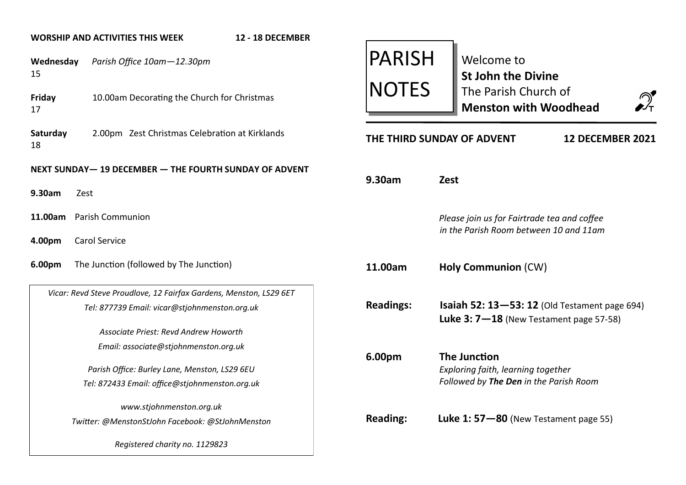## **WORSHIP AND ACTIVITIES THIS WEEK 12 - 18 DECEMBER**

**Wednesday** *Parish Office 10am—12.30pm* 15

**Friday** 10.00am Decorating the Church for Christmas 17

**Saturday** 2.00pm Zest Christmas Celebration at Kirklands 18

**NEXT SUNDAY— 19 DECEMBER — THE FOURTH SUNDAY OF ADVENT**

**9.30am** Zest

**11.00am** Parish Communion

**4.00pm** Carol Service

**6.00pm** The Junction (followed by The Junction)

*Vicar: Revd Steve Proudlove, 12 Fairfax Gardens, Menston, LS29 6ET Tel: 877739 Email: vicar@stjohnmenston.org.uk*

> *Associate Priest: Revd Andrew Howorth Email: associate@stjohnmenston.org.uk*

*Parish Office: Burley Lane, Menston, LS29 6EU Tel: 872433 Email: office@stjohnmenston.org.uk*

*www.stjohnmenston.org.uk Twitter: @MenstonStJohn Facebook: @StJohnMenston* 

*Registered charity no. 1129823*

| <b>PARISH</b><br><b>NOTES</b>                         | Welcome to<br><b>St John the Divine</b><br>The Parish Church of<br><b>Menston with Woodhead</b>     |  |  |  |
|-------------------------------------------------------|-----------------------------------------------------------------------------------------------------|--|--|--|
| THE THIRD SUNDAY OF ADVENT<br><b>12 DECEMBER 2021</b> |                                                                                                     |  |  |  |
| 9.30am                                                | <b>Zest</b>                                                                                         |  |  |  |
|                                                       | Please join us for Fairtrade tea and coffee<br>in the Parish Room between 10 and 11am               |  |  |  |
| 11.00am                                               | <b>Holy Communion (CW)</b>                                                                          |  |  |  |
| <b>Readings:</b>                                      | <b>Isaiah 52: 13-53: 12 (Old Testament page 694)</b><br>Luke $3:7-18$ (New Testament page 57-58)    |  |  |  |
| 6.00pm                                                | <b>The Junction</b><br>Exploring faith, learning together<br>Followed by The Den in the Parish Room |  |  |  |
| <b>Reading:</b>                                       | <b>Luke 1: 57 – 80</b> (New Testament page 55)                                                      |  |  |  |